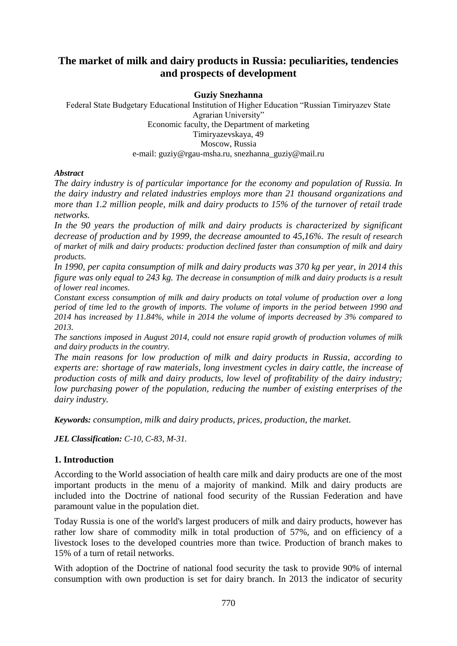# **The market of milk and dairy products in Russia: peculiarities, tendencies and prospects of development**

#### **Guziy Snezhanna**

Federal State Budgetary Educational Institution of Higher Education "Russian Timiryazev State Agrarian University" Economic faculty, the Department of marketing Timiryazevskaya, 49 Moscow, Russia e-mail: guziy@rgau-msha.ru, snezhanna\_guziy@mail.ru

#### *Abstract*

*The dairy industry is of particular importance for the economy and population of Russia. In the dairy industry and related industries employs more than 21 thousand organizations and more than 1.2 million people, milk and dairy products to 15% of the turnover of retail trade networks.*

*In the 90 years the production of milk and dairy products is characterized by significant decrease of production and by 1999, the decrease amounted to 45,16%. The result of research of market of milk and dairy products: production declined faster than consumption of milk and dairy products.* 

*In 1990, per capita consumption of milk and dairy products was 370 kg per year, in 2014 this figure was only equal to 243 kg. The decrease in consumption of milk and dairy products is a result of lower real incomes.*

*Constant excess consumption of milk and dairy products on total volume of production over a long period of time led to the growth of imports. The volume of imports in the period between 1990 and 2014 has increased by 11.84%, while in 2014 the volume of imports decreased by 3% compared to 2013.*

*The sanctions imposed in August 2014, could not ensure rapid growth of production volumes of milk and dairy products in the country.*

*The main reasons for low production of milk and dairy products in Russia, according to experts are: shortage of raw materials, long investment cycles in dairy cattle, the increase of production costs of milk and dairy products, low level of profitability of the dairy industry; low purchasing power of the population, reducing the number of existing enterprises of the dairy industry.*

*Keywords: consumption, milk and dairy products, prices, production, the market.*

*JEL Classification: C-10, C-83, M-31.*

## **1. Introduction**

According to the World association of health care milk and dairy products are one of the most important products in the menu of a majority of mankind. Milk and dairy products are included into the Doctrine of national food security of the Russian Federation and have paramount value in the population diet.

Today Russia is one of the world's largest producers of milk and dairy products, however has rather low share of commodity milk in total production of 57%, and on efficiency of a livestock loses to the developed countries more than twice. Production of branch makes to 15% of a turn of retail networks.

With adoption of the Doctrine of national food security the task to provide 90% of internal consumption with own production is set for dairy branch. In 2013 the indicator of security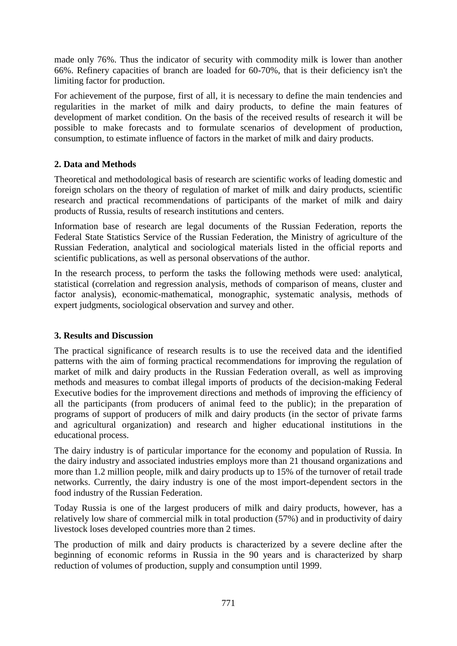made only 76%. Thus the indicator of security with commodity milk is lower than another 66%. Refinery capacities of branch are loaded for 60-70%, that is their deficiency isn't the limiting factor for production.

For achievement of the purpose, first of all, it is necessary to define the main tendencies and regularities in the market of milk and dairy products, to define the main features of development of market condition. On the basis of the received results of research it will be possible to make forecasts and to formulate scenarios of development of production, consumption, to estimate influence of factors in the market of milk and dairy products.

## **2. Data and Methods**

Theoretical and methodological basis of research are scientific works of leading domestic and foreign scholars on the theory of regulation of market of milk and dairy products, scientific research and practical recommendations of participants of the market of milk and dairy products of Russia, results of research institutions and centers.

Information base of research are legal documents of the Russian Federation, reports the Federal State Statistics Service of the Russian Federation, the Ministry of agriculture of the Russian Federation, analytical and sociological materials listed in the official reports and scientific publications, as well as personal observations of the author.

In the research process, to perform the tasks the following methods were used: analytical, statistical (correlation and regression analysis, methods of comparison of means, cluster and factor analysis), economic-mathematical, monographic, systematic analysis, methods of expert judgments, sociological observation and survey and other.

## **3. Results and Discussion**

The practical significance of research results is to use the received data and the identified patterns with the aim of forming practical recommendations for improving the regulation of market of milk and dairy products in the Russian Federation overall, as well as improving methods and measures to combat illegal imports of products of the decision-making Federal Executive bodies for the improvement directions and methods of improving the efficiency of all the participants (from producers of animal feed to the public); in the preparation of programs of support of producers of milk and dairy products (in the sector of private farms and agricultural organization) and research and higher educational institutions in the educational process.

The dairy industry is of particular importance for the economy and population of Russia. In the dairy industry and associated industries employs more than 21 thousand organizations and more than 1.2 million people, milk and dairy products up to 15% of the turnover of retail trade networks. Currently, the dairy industry is one of the most import-dependent sectors in the food industry of the Russian Federation.

Today Russia is one of the largest producers of milk and dairy products, however, has a relatively low share of commercial milk in total production (57%) and in productivity of dairy livestock loses developed countries more than 2 times.

The production of milk and dairy products is characterized by a severe decline after the beginning of economic reforms in Russia in the 90 years and is characterized by sharp reduction of volumes of production, supply and consumption until 1999.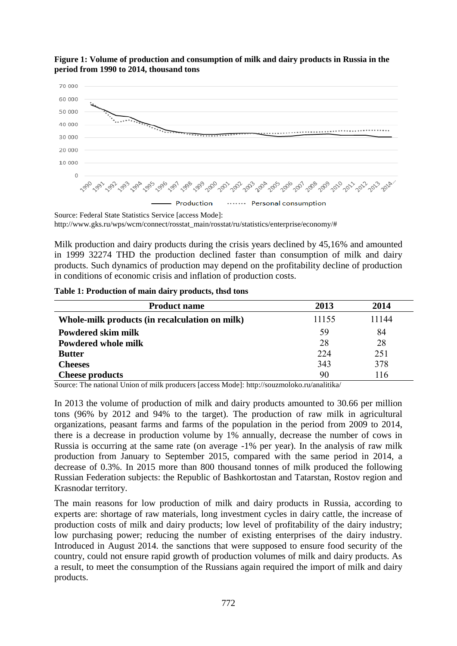

#### **Figure 1: Volume of production and consumption of milk and dairy products in Russia in the period from 1990 to 2014, thousand tons**

Source: Federal State Statistics Service [access Mode]: http://www.gks.ru/wps/wcm/connect/rosstat\_main/rosstat/ru/statistics/enterprise/economy/#

Milk production and dairy products during the crisis years declined by 45,16% and amounted in 1999 32274 THD the production declined faster than consumption of milk and dairy products. Such dynamics of production may depend on the profitability decline of production in conditions of economic crisis and inflation of production costs.

| <b>Product name</b>                            | 2013  | 2014  |
|------------------------------------------------|-------|-------|
| Whole-milk products (in recalculation on milk) | 11155 | 11144 |
| Powdered skim milk                             | 59    | 84    |
| Powdered whole milk                            | 28    | 28    |
| <b>Butter</b>                                  | 224   | 251   |
| <b>Cheeses</b>                                 | 343   | 378   |
| <b>Cheese products</b>                         | 90    | 116   |

Source: The national Union of milk producers [access Mode]:<http://souzmoloko.ru/analitika/>

In 2013 the volume of production of milk and dairy products amounted to 30.66 per million tons (96% by 2012 and 94% to the target). The production of raw milk in agricultural organizations, peasant farms and farms of the population in the period from 2009 to 2014, there is a decrease in production volume by 1% annually, decrease the number of cows in Russia is occurring at the same rate (on average -1% per year). In the analysis of raw milk production from January to September 2015, compared with the same period in 2014, a decrease of 0.3%. In 2015 more than 800 thousand tonnes of milk produced the following Russian Federation subjects: the Republic of Bashkortostan and Tatarstan, Rostov region and Krasnodar territory.

The main reasons for low production of milk and dairy products in Russia, according to experts are: shortage of raw materials, long investment cycles in dairy cattle, the increase of production costs of milk and dairy products; low level of profitability of the dairy industry; low purchasing power; reducing the number of existing enterprises of the dairy industry. Introduced in August 2014. the sanctions that were supposed to ensure food security of the country, could not ensure rapid growth of production volumes of milk and dairy products. As a result, to meet the consumption of the Russians again required the import of milk and dairy products.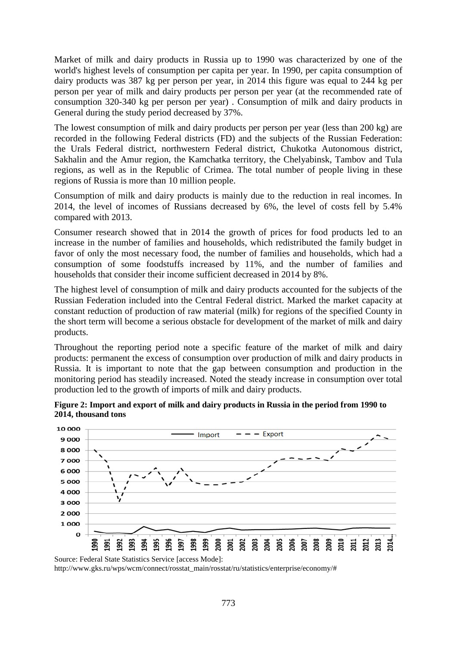Market of milk and dairy products in Russia up to 1990 was characterized by one of the world's highest levels of consumption per capita per year. In 1990, per capita consumption of dairy products was 387 kg per person per year, in 2014 this figure was equal to 244 kg per person per year of milk and dairy products per person per year (at the recommended rate of consumption 320-340 kg per person per year) . Consumption of milk and dairy products in General during the study period decreased by 37%.

The lowest consumption of milk and dairy products per person per year (less than 200 kg) are recorded in the following Federal districts (FD) and the subjects of the Russian Federation: the Urals Federal district, northwestern Federal district, Chukotka Autonomous district, Sakhalin and the Amur region, the Kamchatka territory, the Chelyabinsk, Tambov and Tula regions, as well as in the Republic of Crimea. The total number of people living in these regions of Russia is more than 10 million people.

Consumption of milk and dairy products is mainly due to the reduction in real incomes. In 2014, the level of incomes of Russians decreased by 6%, the level of costs fell by 5.4% compared with 2013.

Consumer research showed that in 2014 the growth of prices for food products led to an increase in the number of families and households, which redistributed the family budget in favor of only the most necessary food, the number of families and households, which had a consumption of some foodstuffs increased by 11%, and the number of families and households that consider their income sufficient decreased in 2014 by 8%.

The highest level of consumption of milk and dairy products accounted for the subjects of the Russian Federation included into the Central Federal district. Marked the market capacity at constant reduction of production of raw material (milk) for regions of the specified County in the short term will become a serious obstacle for development of the market of milk and dairy products.

Throughout the reporting period note a specific feature of the market of milk and dairy products: permanent the excess of consumption over production of milk and dairy products in Russia. It is important to note that the gap between consumption and production in the monitoring period has steadily increased. Noted the steady increase in consumption over total production led to the growth of imports of milk and dairy products.



**Figure 2: Import and export of milk and dairy products in Russia in the period from 1990 to 2014, thousand tons** 

http://www.gks.ru/wps/wcm/connect/rosstat\_main/rosstat/ru/statistics/enterprise/economy/#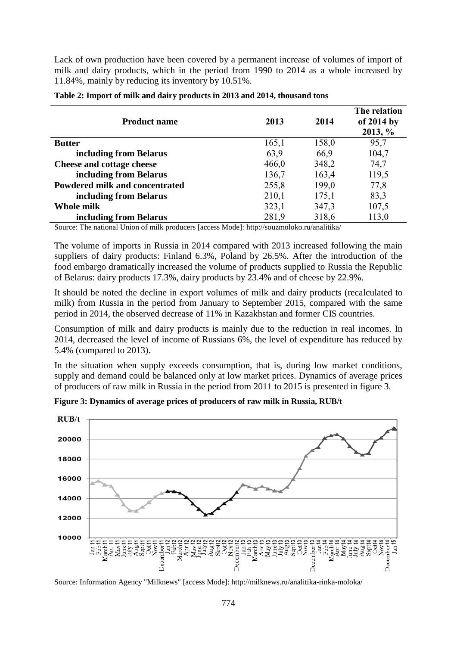Lack of own production have been covered by a permanent increase of volumes of import of milk and dairy products, which in the period from 1990 to 2014 as a whole increased by 11.84%, mainly by reducing its inventory by 10.51%.

| <b>Product name</b>            | 2013  | 2014  | The relation<br>of 2014 by<br>2013, % |
|--------------------------------|-------|-------|---------------------------------------|
| <b>Butter</b>                  | 165,1 | 158,0 | 95,7                                  |
| including from Belarus         | 63,9  | 66,9  | 104,7                                 |
| Cheese and cottage cheese      | 466,0 | 348,2 | 74,7                                  |
| including from Belarus         | 136,7 | 163,4 | 119,5                                 |
| Powdered milk and concentrated | 255,8 | 199,0 | 77,8                                  |
| including from Belarus         | 210,1 | 175,1 | 83,3                                  |
| Whole milk                     | 323,1 | 347,3 | 107,5                                 |
| including from Belarus         | 281,9 | 318,6 | 113,0                                 |

|  |  | Table 2: Import of milk and dairy products in 2013 and 2014, thousand tons |  |
|--|--|----------------------------------------------------------------------------|--|
|  |  |                                                                            |  |

Source: The national Union of milk producers [access Mode]:<http://souzmoloko.ru/analitika/>

The volume of imports in Russia in 2014 compared with 2013 increased following the main suppliers of dairy products: Finland 6.3%, Poland by 26.5%. After the introduction of the food embargo dramatically increased the volume of products supplied to Russia the Republic of Belarus: dairy products 17.3%, dairy products by 23.4% and of cheese by 22.9%.

It should be noted the decline in export volumes of milk and dairy products (recalculated to milk) from Russia in the period from January to September 2015, compared with the same period in 2014, the observed decrease of 11% in Kazakhstan and former CIS countries.

Consumption of milk and dairy products is mainly due to the reduction in real incomes. In 2014, decreased the level of income of Russians 6%, the level of expenditure has reduced by 5.4% (compared to 2013).

In the situation when supply exceeds consumption, that is, during low market conditions, supply and demand could be balanced only at low market prices. Dynamics of average prices of producers of raw milk in Russia in the period from 2011 to 2015 is presented in figure 3.



**Figure 3: Dynamics of average prices of producers of raw milk in Russia, RUB/t** 

Source: Information Agency "Milknews" [access Mode]: http://milknews.ru/analitika-rinka-moloka/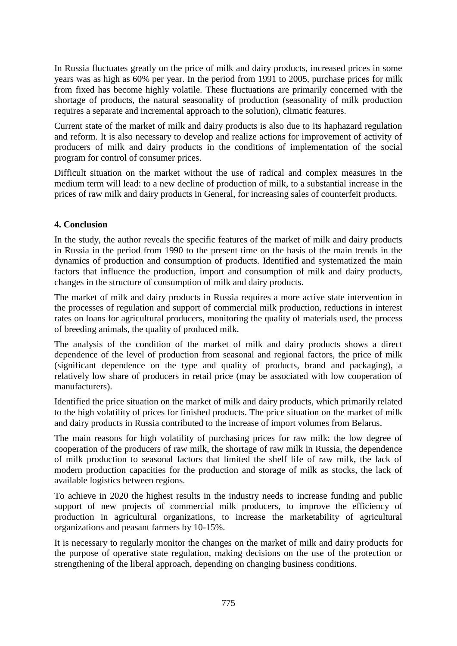In Russia fluctuates greatly on the price of milk and dairy products, increased prices in some years was as high as 60% per year. In the period from 1991 to 2005, purchase prices for milk from fixed has become highly volatile. These fluctuations are primarily concerned with the shortage of products, the natural seasonality of production (seasonality of milk production requires a separate and incremental approach to the solution), climatic features.

Current state of the market of milk and dairy products is also due to its haphazard regulation and reform. It is also necessary to develop and realize actions for improvement of activity of producers of milk and dairy products in the conditions of implementation of the social program for control of consumer prices.

Difficult situation on the market without the use of radical and complex measures in the medium term will lead: to a new decline of production of milk, to a substantial increase in the prices of raw milk and dairy products in General, for increasing sales of counterfeit products.

## **4. Conclusion**

In the study, the author reveals the specific features of the market of milk and dairy products in Russia in the period from 1990 to the present time on the basis of the main trends in the dynamics of production and consumption of products. Identified and systematized the main factors that influence the production, import and consumption of milk and dairy products, changes in the structure of consumption of milk and dairy products.

The market of milk and dairy products in Russia requires a more active state intervention in the processes of regulation and support of commercial milk production, reductions in interest rates on loans for agricultural producers, monitoring the quality of materials used, the process of breeding animals, the quality of produced milk.

The analysis of the condition of the market of milk and dairy products shows a direct dependence of the level of production from seasonal and regional factors, the price of milk (significant dependence on the type and quality of products, brand and packaging), a relatively low share of producers in retail price (may be associated with low cooperation of manufacturers).

Identified the price situation on the market of milk and dairy products, which primarily related to the high volatility of prices for finished products. The price situation on the market of milk and dairy products in Russia contributed to the increase of import volumes from Belarus.

The main reasons for high volatility of purchasing prices for raw milk: the low degree of cooperation of the producers of raw milk, the shortage of raw milk in Russia, the dependence of milk production to seasonal factors that limited the shelf life of raw milk, the lack of modern production capacities for the production and storage of milk as stocks, the lack of available logistics between regions.

To achieve in 2020 the highest results in the industry needs to increase funding and public support of new projects of commercial milk producers, to improve the efficiency of production in agricultural organizations, to increase the marketability of agricultural organizations and peasant farmers by 10-15%.

It is necessary to regularly monitor the changes on the market of milk and dairy products for the purpose of operative state regulation, making decisions on the use of the protection or strengthening of the liberal approach, depending on changing business conditions.